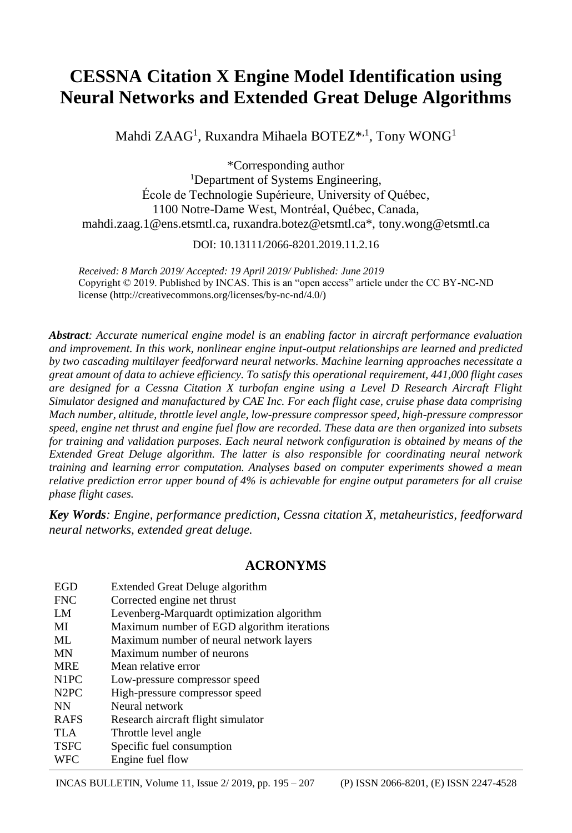# **CESSNA Citation X Engine Model Identification using Neural Networks and Extended Great Deluge Algorithms**

Mahdi  $Z\text{AAG}^1$ , Ruxandra Mihaela BOTEZ $^{*,1}$ , Tony WONG<sup>1</sup>

\*Corresponding author <sup>1</sup>Department of Systems Engineering, École de Technologie Supérieure, University of Québec, 1100 Notre-Dame West, Montréal, Québec, Canada, mahdi.zaag.1@ens.etsmtl.ca, ruxandra.botez@etsmtl.ca\*, tony.wong@etsmtl.ca

DOI: 10.13111/2066-8201.2019.11.2.16

*Received: 8 March 2019/ Accepted: 19 April 2019/ Published: June 2019* Copyright © 2019. Published by INCAS. This is an "open access" article under the CC BY-NC-ND license (http://creativecommons.org/licenses/by-nc-nd/4.0/)

*Abstract: Accurate numerical engine model is an enabling factor in aircraft performance evaluation and improvement. In this work, nonlinear engine input-output relationships are learned and predicted by two cascading multilayer feedforward neural networks. Machine learning approaches necessitate a great amount of data to achieve efficiency. To satisfy this operational requirement, 441,000 flight cases are designed for a Cessna Citation X turbofan engine using a Level D Research Aircraft Flight Simulator designed and manufactured by CAE Inc. For each flight case, cruise phase data comprising Mach number, altitude, throttle level angle, low-pressure compressor speed, high-pressure compressor speed, engine net thrust and engine fuel flow are recorded. These data are then organized into subsets for training and validation purposes. Each neural network configuration is obtained by means of the Extended Great Deluge algorithm. The latter is also responsible for coordinating neural network training and learning error computation. Analyses based on computer experiments showed a mean relative prediction error upper bound of 4% is achievable for engine output parameters for all cruise phase flight cases.*

*Key Words: Engine, performance prediction, Cessna citation X, metaheuristics, feedforward neural networks, extended great deluge.*

# **ACRONYMS**

| EGD                           | Extended Great Deluge algorithm            |
|-------------------------------|--------------------------------------------|
| <b>FNC</b>                    | Corrected engine net thrust                |
| LM                            | Levenberg-Marquardt optimization algorithm |
| MI                            | Maximum number of EGD algorithm iterations |
| ML.                           | Maximum number of neural network layers    |
| <b>MN</b>                     | Maximum number of neurons                  |
| <b>MRE</b>                    | Mean relative error                        |
| N <sub>1</sub> PC             | Low-pressure compressor speed              |
| N <sub>2</sub> P <sub>C</sub> | High-pressure compressor speed             |
| <b>NN</b>                     | Neural network                             |
| <b>RAFS</b>                   | Research aircraft flight simulator         |
| <b>TLA</b>                    | Throttle level angle                       |
| <b>TSFC</b>                   | Specific fuel consumption                  |
| <b>WFC</b>                    | Engine fuel flow                           |

INCAS BULLETIN, Volume 11, Issue 2/ 2019, pp. 195 – 207 (P) ISSN 2066-8201, (E) ISSN 2247-4528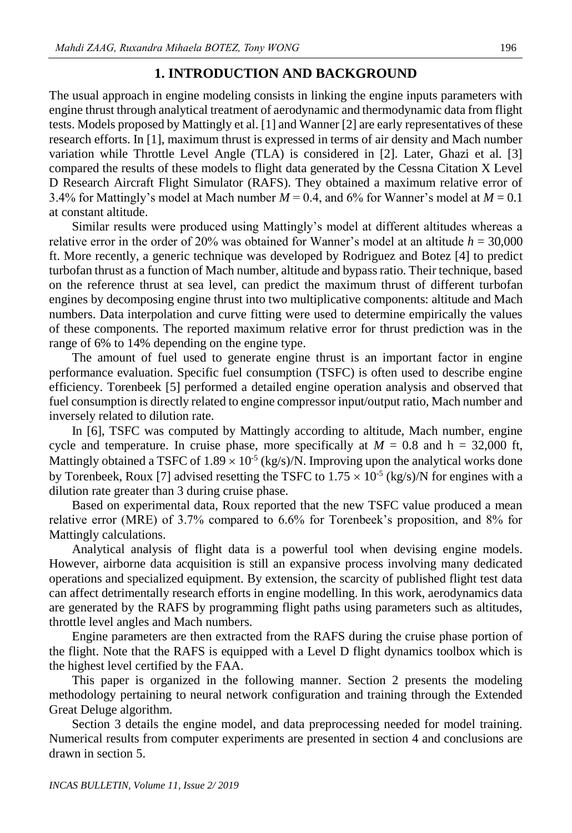### **1. INTRODUCTION AND BACKGROUND**

The usual approach in engine modeling consists in linking the engine inputs parameters with engine thrust through analytical treatment of aerodynamic and thermodynamic data from flight tests. Models proposed by Mattingly et al. [1] and Wanner [2] are early representatives of these research efforts. In [1], maximum thrust is expressed in terms of air density and Mach number variation while Throttle Level Angle (TLA) is considered in [2]. Later, Ghazi et al. [3] compared the results of these models to flight data generated by the Cessna Citation X Level D Research Aircraft Flight Simulator (RAFS). They obtained a maximum relative error of 3.4% for Mattingly's model at Mach number  $M = 0.4$ , and 6% for Wanner's model at  $M = 0.1$ at constant altitude.

Similar results were produced using Mattingly's model at different altitudes whereas a relative error in the order of 20% was obtained for Wanner's model at an altitude  $h = 30,000$ ft. More recently, a generic technique was developed by Rodriguez and Botez [4] to predict turbofan thrust as a function of Mach number, altitude and bypass ratio. Their technique, based on the reference thrust at sea level, can predict the maximum thrust of different turbofan engines by decomposing engine thrust into two multiplicative components: altitude and Mach numbers. Data interpolation and curve fitting were used to determine empirically the values of these components. The reported maximum relative error for thrust prediction was in the range of 6% to 14% depending on the engine type.

The amount of fuel used to generate engine thrust is an important factor in engine performance evaluation. Specific fuel consumption (TSFC) is often used to describe engine efficiency. Torenbeek [5] performed a detailed engine operation analysis and observed that fuel consumption is directly related to engine compressor input/output ratio, Mach number and inversely related to dilution rate.

In [6], TSFC was computed by Mattingly according to altitude, Mach number, engine cycle and temperature. In cruise phase, more specifically at  $M = 0.8$  and  $h = 32,000$  ft, Mattingly obtained a TSFC of  $1.89 \times 10^{-5}$  (kg/s)/N. Improving upon the analytical works done by Torenbeek, Roux [7] advised resetting the TSFC to  $1.75 \times 10^{-5}$  (kg/s)/N for engines with a dilution rate greater than 3 during cruise phase.

Based on experimental data, Roux reported that the new TSFC value produced a mean relative error (MRE) of 3.7% compared to 6.6% for Torenbeek's proposition, and 8% for Mattingly calculations.

Analytical analysis of flight data is a powerful tool when devising engine models. However, airborne data acquisition is still an expansive process involving many dedicated operations and specialized equipment. By extension, the scarcity of published flight test data can affect detrimentally research efforts in engine modelling. In this work, aerodynamics data are generated by the RAFS by programming flight paths using parameters such as altitudes, throttle level angles and Mach numbers.

Engine parameters are then extracted from the RAFS during the cruise phase portion of the flight. Note that the RAFS is equipped with a Level D flight dynamics toolbox which is the highest level certified by the FAA.

This paper is organized in the following manner. Section 2 presents the modeling methodology pertaining to neural network configuration and training through the Extended Great Deluge algorithm.

Section 3 details the engine model, and data preprocessing needed for model training. Numerical results from computer experiments are presented in section 4 and conclusions are drawn in section 5.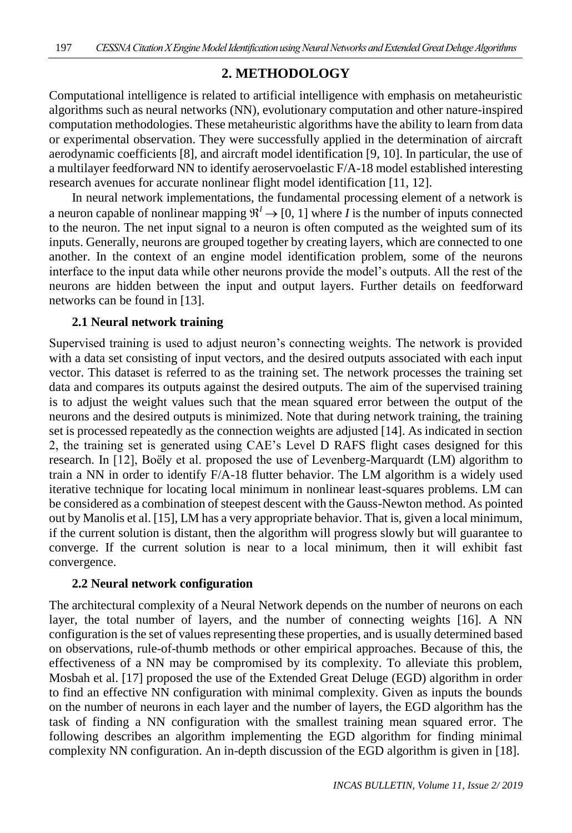# **2. METHODOLOGY**

Computational intelligence is related to artificial intelligence with emphasis on metaheuristic algorithms such as neural networks (NN), evolutionary computation and other nature-inspired computation methodologies. These metaheuristic algorithms have the ability to learn from data or experimental observation. They were successfully applied in the determination of aircraft aerodynamic coefficients [8], and aircraft model identification [9, 10]. In particular, the use of a multilayer feedforward NN to identify aeroservoelastic F/A-18 model established interesting research avenues for accurate nonlinear flight model identification [11, 12].

In neural network implementations, the fundamental processing element of a network is a neuron capable of nonlinear mapping  $\mathbb{R}^l \to [0, 1]$  where *I* is the number of inputs connected to the neuron. The net input signal to a neuron is often computed as the weighted sum of its inputs. Generally, neurons are grouped together by creating layers, which are connected to one another. In the context of an engine model identification problem, some of the neurons interface to the input data while other neurons provide the model's outputs. All the rest of the neurons are hidden between the input and output layers. Further details on feedforward networks can be found in [13].

# **2.1 Neural network training**

Supervised training is used to adjust neuron's connecting weights. The network is provided with a data set consisting of input vectors, and the desired outputs associated with each input vector. This dataset is referred to as the training set. The network processes the training set data and compares its outputs against the desired outputs. The aim of the supervised training is to adjust the weight values such that the mean squared error between the output of the neurons and the desired outputs is minimized. Note that during network training, the training set is processed repeatedly as the connection weights are adjusted [14]. As indicated in section 2, the training set is generated using CAE's Level D RAFS flight cases designed for this research. In [12], Boëly et al. proposed the use of Levenberg-Marquardt (LM) algorithm to train a NN in order to identify F/A-18 flutter behavior. The LM algorithm is a widely used iterative technique for locating local minimum in nonlinear least-squares problems. LM can be considered as a combination of steepest descent with the Gauss-Newton method. As pointed out by Manolis et al. [15], LM has a very appropriate behavior. That is, given a local minimum, if the current solution is distant, then the algorithm will progress slowly but will guarantee to converge. If the current solution is near to a local minimum, then it will exhibit fast convergence.

# **2.2 Neural network configuration**

The architectural complexity of a Neural Network depends on the number of neurons on each layer, the total number of layers, and the number of connecting weights [16]. A NN configuration is the set of values representing these properties, and is usually determined based on observations, rule-of-thumb methods or other empirical approaches. Because of this, the effectiveness of a NN may be compromised by its complexity. To alleviate this problem, Mosbah et al. [17] proposed the use of the Extended Great Deluge (EGD) algorithm in order to find an effective NN configuration with minimal complexity. Given as inputs the bounds on the number of neurons in each layer and the number of layers, the EGD algorithm has the task of finding a NN configuration with the smallest training mean squared error. The following describes an algorithm implementing the EGD algorithm for finding minimal complexity NN configuration. An in-depth discussion of the EGD algorithm is given in [18].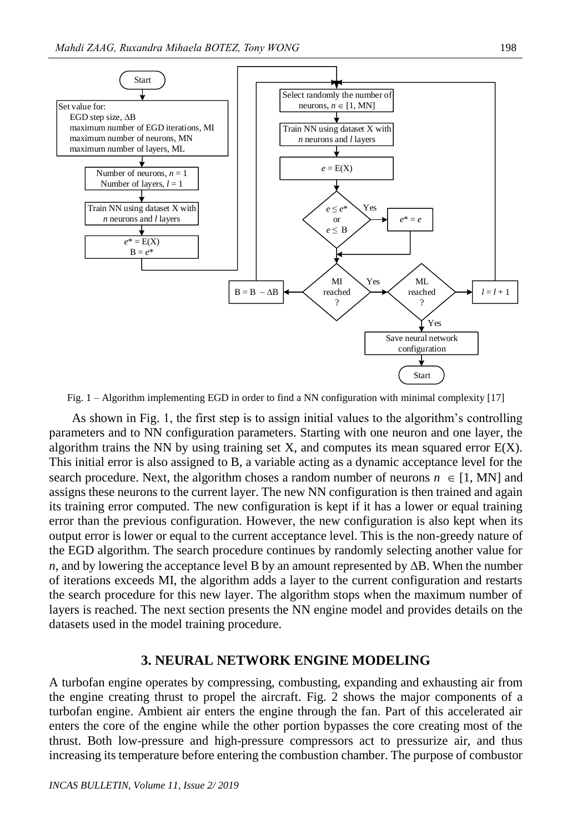

Fig. 1 – Algorithm implementing EGD in order to find a NN configuration with minimal complexity [17]

As shown in Fig. 1, the first step is to assign initial values to the algorithm's controlling parameters and to NN configuration parameters. Starting with one neuron and one layer, the algorithm trains the NN by using training set X, and computes its mean squared error  $E(X)$ . This initial error is also assigned to B, a variable acting as a dynamic acceptance level for the search procedure. Next, the algorithm choses a random number of neurons  $n \in [1, MN]$  and assigns these neurons to the current layer. The new NN configuration is then trained and again its training error computed. The new configuration is kept if it has a lower or equal training error than the previous configuration. However, the new configuration is also kept when its output error is lower or equal to the current acceptance level. This is the non-greedy nature of the EGD algorithm. The search procedure continues by randomly selecting another value for *n*, and by lowering the acceptance level B by an amount represented by  $\Delta B$ . When the number of iterations exceeds MI, the algorithm adds a layer to the current configuration and restarts the search procedure for this new layer. The algorithm stops when the maximum number of layers is reached. The next section presents the NN engine model and provides details on the datasets used in the model training procedure.

#### **3. NEURAL NETWORK ENGINE MODELING**

A turbofan engine operates by compressing, combusting, expanding and exhausting air from the engine creating thrust to propel the aircraft. Fig. 2 shows the major components of a turbofan engine. Ambient air enters the engine through the fan. Part of this accelerated air enters the core of the engine while the other portion bypasses the core creating most of the thrust. Both low-pressure and high-pressure compressors act to pressurize air, and thus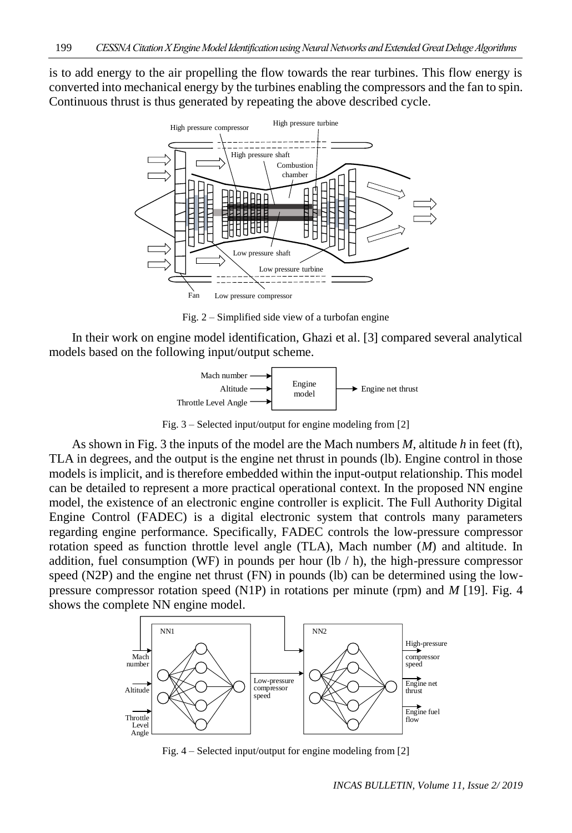is to add energy to the air propelling the flow towards the rear turbines. This flow energy is converted into mechanical energy by the turbines enabling the compressors and the fan to spin. Continuous thrust is thus generated by repeating the above described cycle.



Fig. 2 – Simplified side view of a turbofan engine

In their work on engine model identification, Ghazi et al. [3] compared several analytical models based on the following input/output scheme.



Fig. 3 – Selected input/output for engine modeling from [2]

As shown in Fig. 3 the inputs of the model are the Mach numbers *M*, altitude *h* in feet (ft), TLA in degrees, and the output is the engine net thrust in pounds (lb). Engine control in those models is implicit, and is therefore embedded within the input-output relationship. This model can be detailed to represent a more practical operational context. In the proposed NN engine model, the existence of an electronic engine controller is explicit. The Full Authority Digital Engine Control (FADEC) is a digital electronic system that controls many parameters regarding engine performance. Specifically, FADEC controls the low-pressure compressor rotation speed as function throttle level angle (TLA), Mach number (*M*) and altitude. In addition, fuel consumption (WF) in pounds per hour (lb  $/$  h), the high-pressure compressor speed (N2P) and the engine net thrust (FN) in pounds (lb) can be determined using the lowpressure compressor rotation speed (N1P) in rotations per minute (rpm) and *M* [19]. Fig. 4 shows the complete NN engine model.



Fig. 4 – Selected input/output for engine modeling from [2]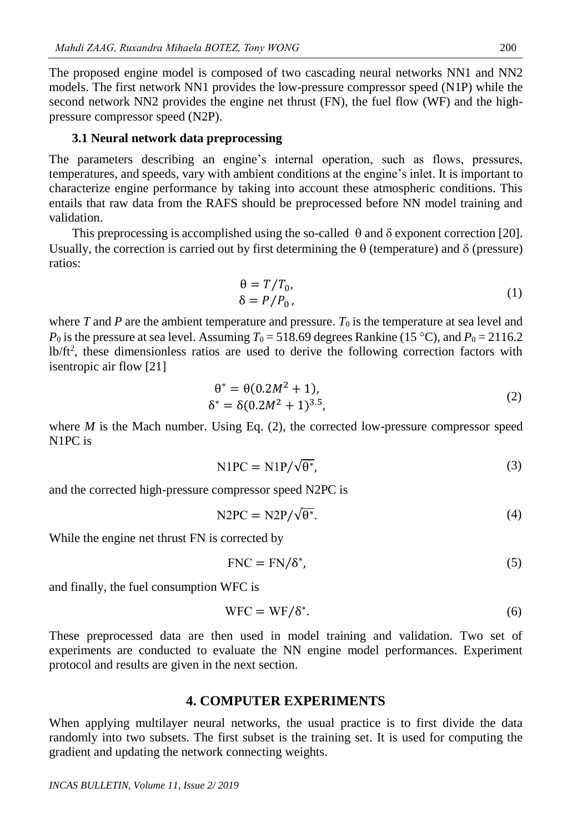The proposed engine model is composed of two cascading neural networks NN1 and NN2 models. The first network NN1 provides the low-pressure compressor speed (N1P) while the second network NN2 provides the engine net thrust (FN), the fuel flow (WF) and the highpressure compressor speed (N2P).

#### **3.1 Neural network data preprocessing**

The parameters describing an engine's internal operation, such as flows, pressures, temperatures, and speeds, vary with ambient conditions at the engine's inlet. It is important to characterize engine performance by taking into account these atmospheric conditions. This entails that raw data from the RAFS should be preprocessed before NN model training and validation.

This preprocessing is accomplished using the so-called  $\theta$  and  $\delta$  exponent correction [20]. Usually, the correction is carried out by first determining the  $\theta$  (temperature) and  $\delta$  (pressure) ratios:

$$
\begin{aligned} \n\theta &= T/T_0, \\ \n\delta &= P/P_0, \n\end{aligned} \tag{1}
$$

where *T* and *P* are the ambient temperature and pressure.  $T_0$  is the temperature at sea level and  $P_0$  is the pressure at sea level. Assuming  $T_0 = 518.69$  degrees Rankine (15 °C), and  $P_0 = 2116.2$ lb/ft<sup>2</sup>, these dimensionless ratios are used to derive the following correction factors with isentropic air flow [21]

$$
\theta^* = \theta(0.2M^2 + 1), \n\delta^* = \delta(0.2M^2 + 1)^{3.5},
$$
\n(2)

where  $M$  is the Mach number. Using Eq.  $(2)$ , the corrected low-pressure compressor speed N1PC is

$$
NIPC = NIP/\sqrt{\theta^*},\tag{3}
$$

and the corrected high-pressure compressor speed N2PC is

$$
N2PC = N2P/\sqrt{\theta^*}.
$$
 (4)

While the engine net thrust FN is corrected by

$$
FNC = FN/\delta^*,\tag{5}
$$

and finally, the fuel consumption WFC is

$$
WFC = WF/\delta^*.
$$
 (6)

These preprocessed data are then used in model training and validation. Two set of experiments are conducted to evaluate the NN engine model performances. Experiment protocol and results are given in the next section.

#### **4. COMPUTER EXPERIMENTS**

When applying multilayer neural networks, the usual practice is to first divide the data randomly into two subsets. The first subset is the training set. It is used for computing the gradient and updating the network connecting weights.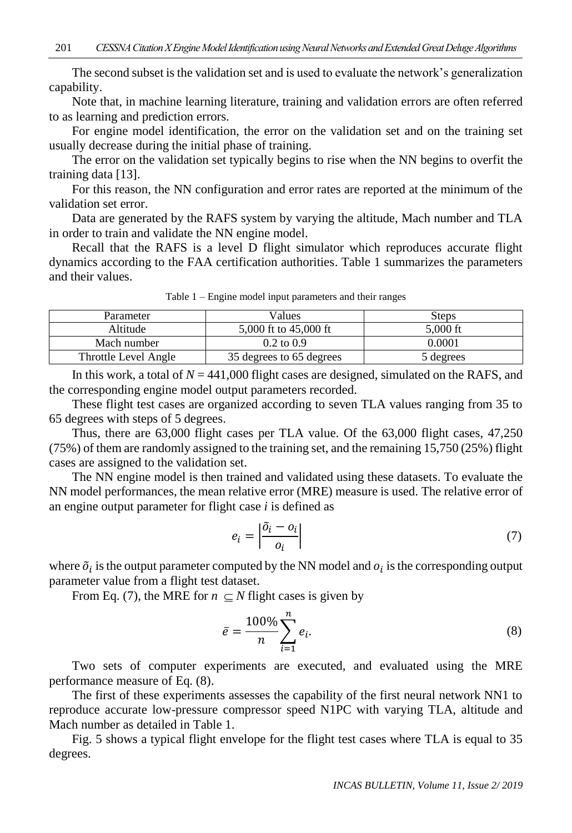The second subset is the validation set and is used to evaluate the network's generalization capability.

Note that, in machine learning literature, training and validation errors are often referred to as learning and prediction errors.

For engine model identification, the error on the validation set and on the training set usually decrease during the initial phase of training.

The error on the validation set typically begins to rise when the NN begins to overfit the training data [13].

For this reason, the NN configuration and error rates are reported at the minimum of the validation set error.

Data are generated by the RAFS system by varying the altitude, Mach number and TLA in order to train and validate the NN engine model.

Recall that the RAFS is a level D flight simulator which reproduces accurate flight dynamics according to the FAA certification authorities. Table 1 summarizes the parameters and their values.

| Parameter            | √alues                   | Steps      |
|----------------------|--------------------------|------------|
| Altitude             | 5,000 ft to 45,000 ft    | $5,000$ ft |
| Mach number          | $0.2 \text{ to } 0.9$    | 0.0001     |
| Throttle Level Angle | 35 degrees to 65 degrees | 5 degrees  |

Table 1 – Engine model input parameters and their ranges

In this work, a total of  $N = 441,000$  flight cases are designed, simulated on the RAFS, and the corresponding engine model output parameters recorded.

These flight test cases are organized according to seven TLA values ranging from 35 to 65 degrees with steps of 5 degrees.

Thus, there are 63,000 flight cases per TLA value. Of the 63,000 flight cases, 47,250 (75%) of them are randomly assigned to the training set, and the remaining 15,750 (25%) flight cases are assigned to the validation set.

The NN engine model is then trained and validated using these datasets. To evaluate the NN model performances, the mean relative error (MRE) measure is used. The relative error of an engine output parameter for flight case *i* is defined as

$$
e_i = \left| \frac{\tilde{o}_i - o_i}{o_i} \right| \tag{7}
$$

where  $\tilde{o}_i$  is the output parameter computed by the NN model and  $o_i$  is the corresponding output parameter value from a flight test dataset.

From Eq. (7), the MRE for  $n \subseteq N$  flight cases is given by

$$
\bar{e} = \frac{100\%}{n} \sum_{i=1}^{n} e_i.
$$
 (8)

Two sets of computer experiments are executed, and evaluated using the MRE performance measure of Eq. (8).

The first of these experiments assesses the capability of the first neural network NN1 to reproduce accurate low-pressure compressor speed N1PC with varying TLA, altitude and Mach number as detailed in Table 1.

Fig. 5 shows a typical flight envelope for the flight test cases where TLA is equal to 35 degrees.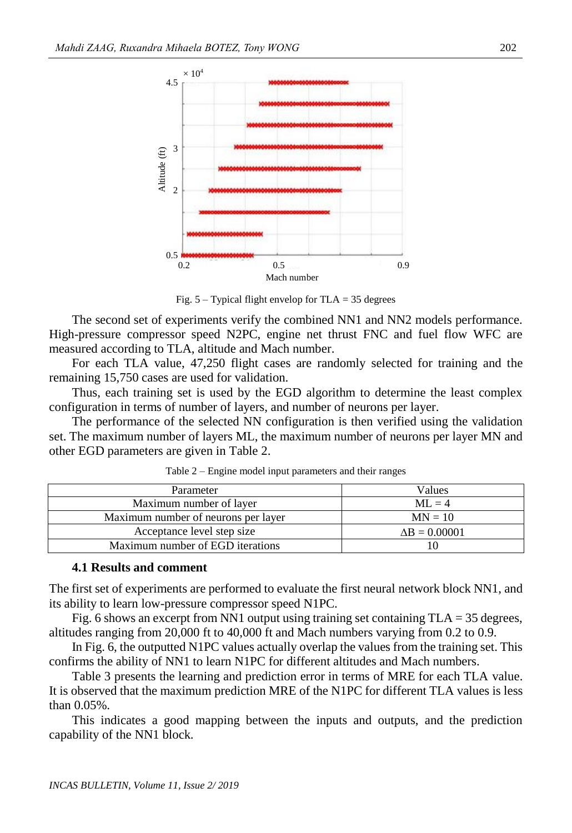

Fig.  $5 -$  Typical flight envelop for TLA = 35 degrees

The second set of experiments verify the combined NN1 and NN2 models performance. High-pressure compressor speed N2PC, engine net thrust FNC and fuel flow WFC are measured according to TLA, altitude and Mach number.

For each TLA value, 47,250 flight cases are randomly selected for training and the remaining 15,750 cases are used for validation.

Thus, each training set is used by the EGD algorithm to determine the least complex configuration in terms of number of layers, and number of neurons per layer.

The performance of the selected NN configuration is then verified using the validation set. The maximum number of layers ML, the maximum number of neurons per layer MN and other EGD parameters are given in Table 2.

| Parameter                           | √alues               |
|-------------------------------------|----------------------|
| Maximum number of layer             | $MI = 4$             |
| Maximum number of neurons per layer | $MN = 10$            |
| Acceptance level step size          | $\Delta B = 0.00001$ |
| Maximum number of EGD iterations    |                      |

Table 2 – Engine model input parameters and their ranges

#### **4.1 Results and comment**

The first set of experiments are performed to evaluate the first neural network block NN1, and its ability to learn low-pressure compressor speed N1PC.

Fig. 6 shows an excerpt from NN1 output using training set containing  $TLA = 35$  degrees, altitudes ranging from 20,000 ft to 40,000 ft and Mach numbers varying from 0.2 to 0.9.

In Fig. 6, the outputted N1PC values actually overlap the values from the training set. This confirms the ability of NN1 to learn N1PC for different altitudes and Mach numbers.

Table 3 presents the learning and prediction error in terms of MRE for each TLA value. It is observed that the maximum prediction MRE of the N1PC for different TLA values is less than 0.05%.

This indicates a good mapping between the inputs and outputs, and the prediction capability of the NN1 block.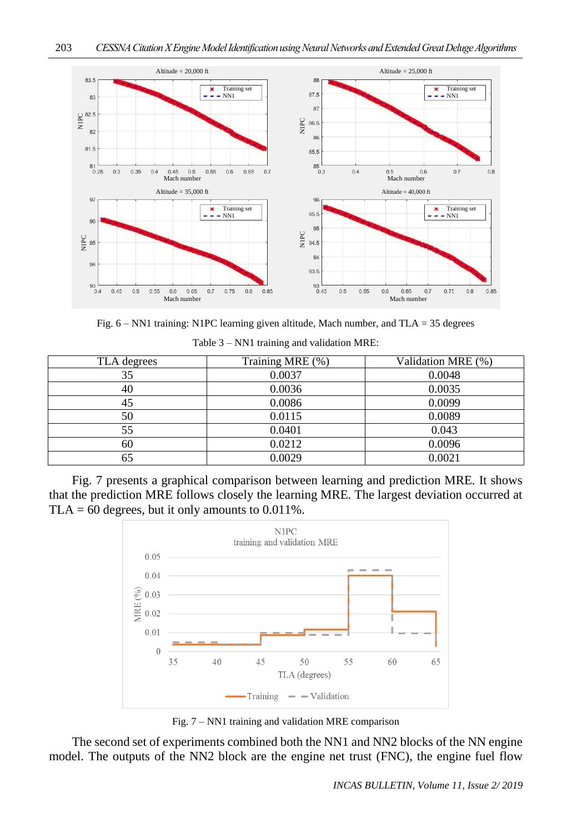

Fig. 6 – NN1 training: N1PC learning given altitude, Mach number, and TLA = 35 degrees

| TLA degrees | Training MRE (%) | Validation MRE (%) |
|-------------|------------------|--------------------|
| 35          | 0.0037           | 0.0048             |
| 40          | 0.0036           | 0.0035             |
| 45          | 0.0086           | 0.0099             |
| 50          | 0.0115           | 0.0089             |
| 55          | 0.0401           | 0.043              |
| 60          | 0.0212           | 0.0096             |
| 65          | 0.0029           | 0.0021             |

Table 3 – NN1 training and validation MRE:

Fig. 7 presents a graphical comparison between learning and prediction MRE. It shows that the prediction MRE follows closely the learning MRE. The largest deviation occurred at TLA = 60 degrees, but it only amounts to  $0.011\%$ .



Fig. 7 – NN1 training and validation MRE comparison

The second set of experiments combined both the NN1 and NN2 blocks of the NN engine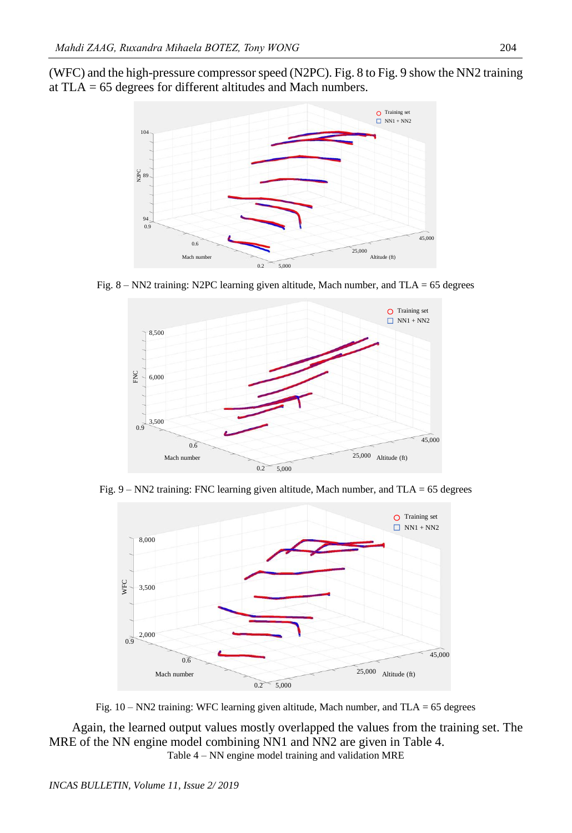(WFC) and the high-pressure compressorspeed (N2PC). Fig. 8 to Fig. 9 show the NN2 training at TLA = 65 degrees for different altitudes and Mach numbers.



Fig.  $8 - NN2$  training: N2PC learning given altitude, Mach number, and TLA = 65 degrees



Fig. 9 – NN2 training: FNC learning given altitude, Mach number, and TLA = 65 degrees



Fig. 10 – NN2 training: WFC learning given altitude, Mach number, and TLA = 65 degrees

Again, the learned output values mostly overlapped the values from the training set. The MRE of the NN engine model combining NN1 and NN2 are given in Table 4. Table 4 – NN engine model training and validation MRE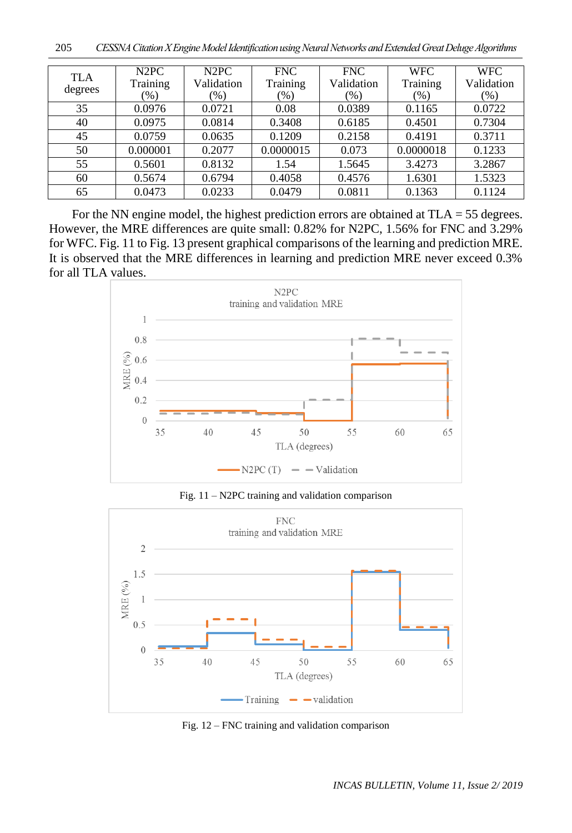| <b>TLA</b><br>degrees | N <sub>2</sub> P <sub>C</sub><br>Training<br>$(\%)$ | N <sub>2</sub> P <sub>C</sub><br>Validation<br>$(\%)$ | <b>FNC</b><br>Training<br>(96) | <b>FNC</b><br>Validation<br>(%) | <b>WFC</b><br>Training<br>$(\% )$ | <b>WFC</b><br>Validation<br>$(\%)$ |
|-----------------------|-----------------------------------------------------|-------------------------------------------------------|--------------------------------|---------------------------------|-----------------------------------|------------------------------------|
| 35                    | 0.0976                                              | 0.0721                                                | 0.08                           | 0.0389                          | 0.1165                            | 0.0722                             |
| 40                    | 0.0975                                              | 0.0814                                                | 0.3408                         | 0.6185                          | 0.4501                            | 0.7304                             |
| 45                    | 0.0759                                              | 0.0635                                                | 0.1209                         | 0.2158                          | 0.4191                            | 0.3711                             |
| 50                    | 0.000001                                            | 0.2077                                                | 0.0000015                      | 0.073                           | 0.0000018                         | 0.1233                             |
| 55                    | 0.5601                                              | 0.8132                                                | 1.54                           | 1.5645                          | 3.4273                            | 3.2867                             |
| 60                    | 0.5674                                              | 0.6794                                                | 0.4058                         | 0.4576                          | 1.6301                            | 1.5323                             |
| 65                    | 0.0473                                              | 0.0233                                                | 0.0479                         | 0.0811                          | 0.1363                            | 0.1124                             |

For the NN engine model, the highest prediction errors are obtained at TLA = 55 degrees. However, the MRE differences are quite small: 0.82% for N2PC, 1.56% for FNC and 3.29% for WFC. Fig. 11 to Fig. 13 present graphical comparisons of the learning and prediction MRE. It is observed that the MRE differences in learning and prediction MRE never exceed 0.3% for all TLA values.



Fig. 11 – N2PC training and validation comparison



Fig. 12 – FNC training and validation comparison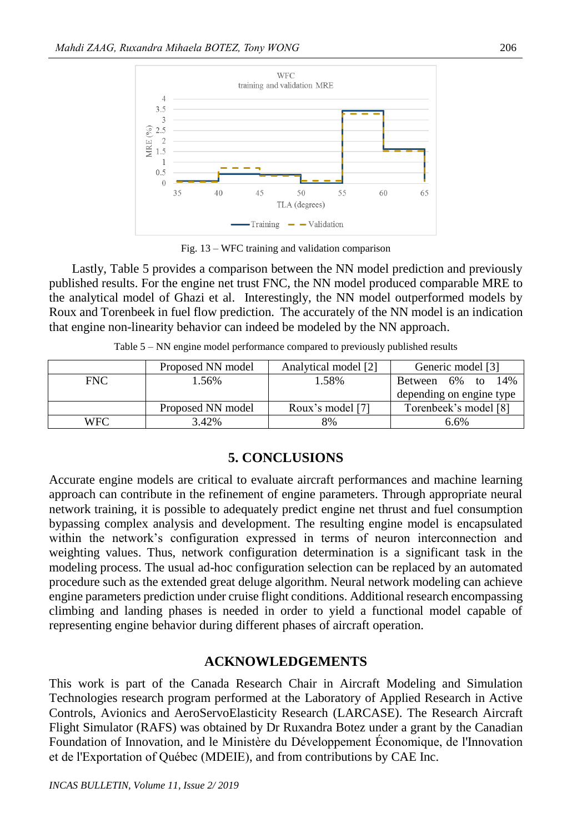

Fig. 13 – WFC training and validation comparison

Lastly, Table 5 provides a comparison between the NN model prediction and previously published results. For the engine net trust FNC, the NN model produced comparable MRE to the analytical model of Ghazi et al. Interestingly, the NN model outperformed models by Roux and Torenbeek in fuel flow prediction. The accurately of the NN model is an indication that engine non-linearity behavior can indeed be modeled by the NN approach.

| Table 5 - NN engine model performance compared to previously published results |  |  |  |  |
|--------------------------------------------------------------------------------|--|--|--|--|
|--------------------------------------------------------------------------------|--|--|--|--|

|            | Proposed NN model | Analytical model [2] | Generic model [3]        |
|------------|-------------------|----------------------|--------------------------|
| <b>FNC</b> | $.56\%$           | 1.58%                | Between 6% to<br>14%     |
|            |                   |                      | depending on engine type |
|            | Proposed NN model | Roux's model [7]     | Torenbeek's model [8]    |
| <b>WFC</b> | 3.42%             | 8%                   | 6.6%                     |

# **5. CONCLUSIONS**

Accurate engine models are critical to evaluate aircraft performances and machine learning approach can contribute in the refinement of engine parameters. Through appropriate neural network training, it is possible to adequately predict engine net thrust and fuel consumption bypassing complex analysis and development. The resulting engine model is encapsulated within the network's configuration expressed in terms of neuron interconnection and weighting values. Thus, network configuration determination is a significant task in the modeling process. The usual ad-hoc configuration selection can be replaced by an automated procedure such as the extended great deluge algorithm. Neural network modeling can achieve engine parameters prediction under cruise flight conditions. Additional research encompassing climbing and landing phases is needed in order to yield a functional model capable of representing engine behavior during different phases of aircraft operation.

# **ACKNOWLEDGEMENTS**

This work is part of the Canada Research Chair in Aircraft Modeling and Simulation Technologies research program performed at the Laboratory of Applied Research in Active Controls, Avionics and AeroServoElasticity Research (LARCASE). The Research Aircraft Flight Simulator (RAFS) was obtained by Dr Ruxandra Botez under a grant by the Canadian Foundation of Innovation, and le Ministère du Développement Économique, de l'Innovation et de l'Exportation of Québec (MDEIE), and from contributions by CAE Inc.